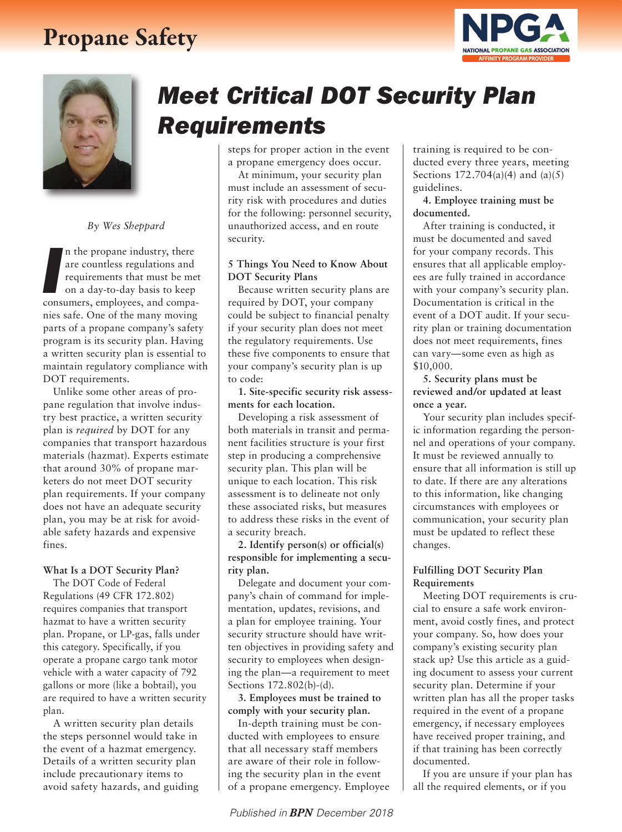### Propane Safety





*By Wes Sheppard*

In the propane industry, there<br>are countless regulations and<br>requirements that must be meet<br>on a day-to-day basis to keep<br>consumers, employees, and compan the propane industry, there are countless regulations and requirements that must be met on a day-to-day basis to keep nies safe. One of the many moving parts of a propane company's safety program is its security plan. Having a written security plan is essential to maintain regulatory compliance with DOT requirements.

Unlike some other areas of propane regulation that involve industry best practice, a written security plan is *required* by DOT for any companies that transport hazardous materials (hazmat). Experts estimate that around 30% of propane marketers do not meet DOT security plan requirements. If your company does not have an adequate security plan, you may be at risk for avoidable safety hazards and expensive fines.

#### **What Is a DOT Security Plan?**

The DOT Code of Federal Regulations (49 CFR 172.802) requires companies that transport hazmat to have a written security plan. Propane, or LP-gas, falls under this category. Specifically, if you operate a propane cargo tank motor vehicle with a water capacity of 792 gallons or more (like a bobtail), you are required to have a written security plan.

A written security plan details the steps personnel would take in the event of a hazmat emergency. Details of a written security plan include precautionary items to avoid safety hazards, and guiding

# *Meet Critical DOT Security Plan Requirements*

steps for proper action in the event a propane emergency does occur.

At minimum, your security plan must include an assessment of security risk with procedures and duties for the following: personnel security, unauthorized access, and en route security.

#### **5 Things You Need to Know About DOT Security Plans**

Because written security plans are required by DOT, your company could be subject to financial penalty if your security plan does not meet the regulatory requirements. Use these five components to ensure that your company's security plan is up to code:

**1. Site-specific security risk assessments for each location.**

Developing a risk assessment of both materials in transit and permanent facilities structure is your first step in producing a comprehensive security plan. This plan will be unique to each location. This risk assessment is to delineate not only these associated risks, but measures to address these risks in the event of a security breach.

**2. Identify person(s) or official(s) responsible for implementing a security plan.** 

Delegate and document your company's chain of command for implementation, updates, revisions, and a plan for employee training. Your security structure should have written objectives in providing safety and security to employees when designing the plan—a requirement to meet Sections 172.802(b)-(d).

**3. Employees must be trained to comply with your security plan.** 

In-depth training must be conducted with employees to ensure that all necessary staff members are aware of their role in following the security plan in the event of a propane emergency. Employee training is required to be conducted every three years, meeting Sections  $172.704(a)(4)$  and  $(a)(5)$ guidelines.

**4. Employee training must be documented.** 

After training is conducted, it must be documented and saved for your company records. This ensures that all applicable employees are fully trained in accordance with your company's security plan. Documentation is critical in the event of a DOT audit. If your security plan or training documentation does not meet requirements, fines can vary—some even as high as \$10,000.

**5. Security plans must be reviewed and/or updated at least once a year.** 

Your security plan includes specific information regarding the personnel and operations of your company. It must be reviewed annually to ensure that all information is still up to date. If there are any alterations to this information, like changing circumstances with employees or communication, your security plan must be updated to reflect these changes.

### **Fulfilling DOT Security Plan Requirements**

Meeting DOT requirements is crucial to ensure a safe work environment, avoid costly fines, and protect your company. So, how does your company's existing security plan stack up? Use this article as a guiding document to assess your current security plan. Determine if your written plan has all the proper tasks required in the event of a propane emergency, if necessary employees have received proper training, and if that training has been correctly documented.

If you are unsure if your plan has all the required elements, or if you